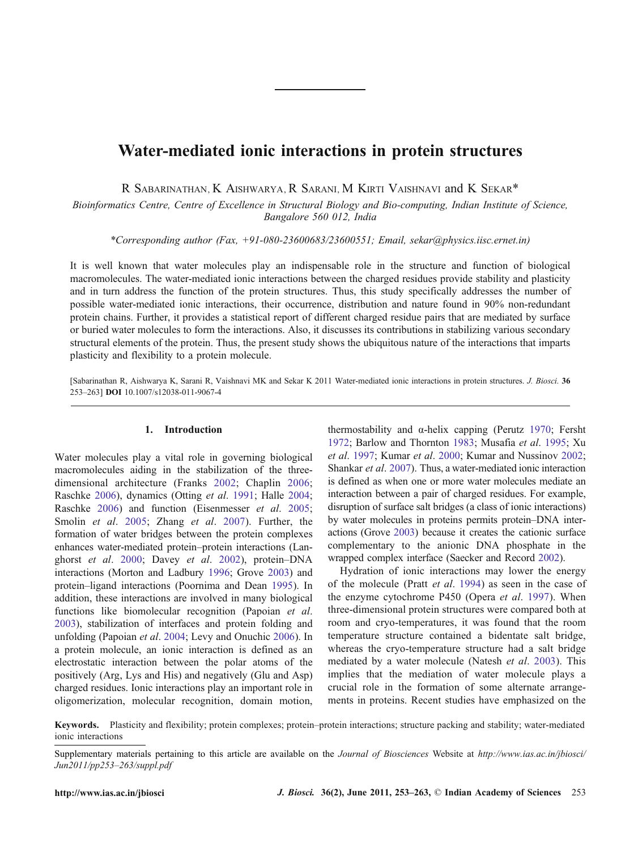# Water-mediated ionic interactions in protein structures

R SABARINATHAN, K AISHWARYA, R SARANI, M KIRTI VAISHNAVI and K SEKAR\*

Bioinformatics Centre, Centre of Excellence in Structural Biology and Bio-computing, Indian Institute of Science, Bangalore 560 012, India

\*Corresponding author (Fax, +91-080-23600683/23600551; Email, sekar@physics.iisc.ernet.in)

It is well known that water molecules play an indispensable role in the structure and function of biological macromolecules. The water-mediated ionic interactions between the charged residues provide stability and plasticity and in turn address the function of the protein structures. Thus, this study specifically addresses the number of possible water-mediated ionic interactions, their occurrence, distribution and nature found in 90% non-redundant protein chains. Further, it provides a statistical report of different charged residue pairs that are mediated by surface or buried water molecules to form the interactions. Also, it discusses its contributions in stabilizing various secondary structural elements of the protein. Thus, the present study shows the ubiquitous nature of the interactions that imparts plasticity and flexibility to a protein molecule.

[Sabarinathan R, Aishwarya K, Sarani R, Vaishnavi MK and Sekar K 2011 Water-mediated ionic interactions in protein structures. J. Biosci. 36 253–263] DOI 10.1007/s12038-011-9067-4

# 1. Introduction

Water molecules play a vital role in governing biological macromolecules aiding in the stabilization of the threedimensional architecture (Franks [2002](#page-8-0); Chaplin [2006](#page-8-0); Raschke [2006\)](#page-9-0), dynamics (Otting et al. [1991](#page-9-0); Halle [2004](#page-9-0); Raschke [2006](#page-9-0)) and function (Eisenmesser et al. [2005](#page-8-0); Smolin *et al.* [2005](#page-9-0); Zhang *et al.* [2007](#page-10-0)). Further, the formation of water bridges between the protein complexes enhances water-mediated protein–protein interactions (Langhorst et al. [2000;](#page-9-0) Davey et al. [2002\)](#page-8-0), protein–DNA interactions (Morton and Ladbury [1996;](#page-9-0) Grove [2003](#page-9-0)) and protein–ligand interactions (Poornima and Dean [1995\)](#page-9-0). In addition, these interactions are involved in many biological functions like biomolecular recognition (Papoian et al. [2003](#page-9-0)), stabilization of interfaces and protein folding and unfolding (Papoian et al. [2004](#page-9-0); Levy and Onuchic [2006](#page-9-0)). In a protein molecule, an ionic interaction is defined as an electrostatic interaction between the polar atoms of the positively (Arg, Lys and His) and negatively (Glu and Asp) charged residues. Ionic interactions play an important role in oligomerization, molecular recognition, domain motion,

thermostability and α-helix capping (Perutz [1970](#page-9-0); Fersht [1972](#page-8-0); Barlow and Thornton [1983;](#page-8-0) Musafia et al. [1995;](#page-9-0) Xu et al. [1997;](#page-10-0) Kumar et al. [2000;](#page-9-0) Kumar and Nussinov [2002](#page-9-0); Shankar et al. [2007\)](#page-9-0). Thus, a water-mediated ionic interaction is defined as when one or more water molecules mediate an interaction between a pair of charged residues. For example, disruption of surface salt bridges (a class of ionic interactions) by water molecules in proteins permits protein–DNA interactions (Grove [2003](#page-9-0)) because it creates the cationic surface complementary to the anionic DNA phosphate in the wrapped complex interface (Saecker and Record [2002](#page-9-0)).

Hydration of ionic interactions may lower the energy of the molecule (Pratt et al. [1994](#page-9-0)) as seen in the case of the enzyme cytochrome P450 (Opera et al. [1997](#page-9-0)). When three-dimensional protein structures were compared both at room and cryo-temperatures, it was found that the room temperature structure contained a bidentate salt bridge, whereas the cryo-temperature structure had a salt bridge mediated by a water molecule (Natesh et al. [2003](#page-9-0)). This implies that the mediation of water molecule plays a crucial role in the formation of some alternate arrangements in proteins. Recent studies have emphasized on the

Keywords. Plasticity and flexibility; protein complexes; protein–protein interactions; structure packing and stability; water-mediated ionic interactions

Supplementary materials pertaining to this article are available on the Journal of Biosciences Website at [http://www.ias.ac.in/jbiosci/](http://www.ias.ac.in/jbiosci/Jun2011/pp253263/suppl.pdf) [Jun2011/pp253](http://www.ias.ac.in/jbiosci/Jun2011/pp253263/suppl.pdf)–263/suppl.pdf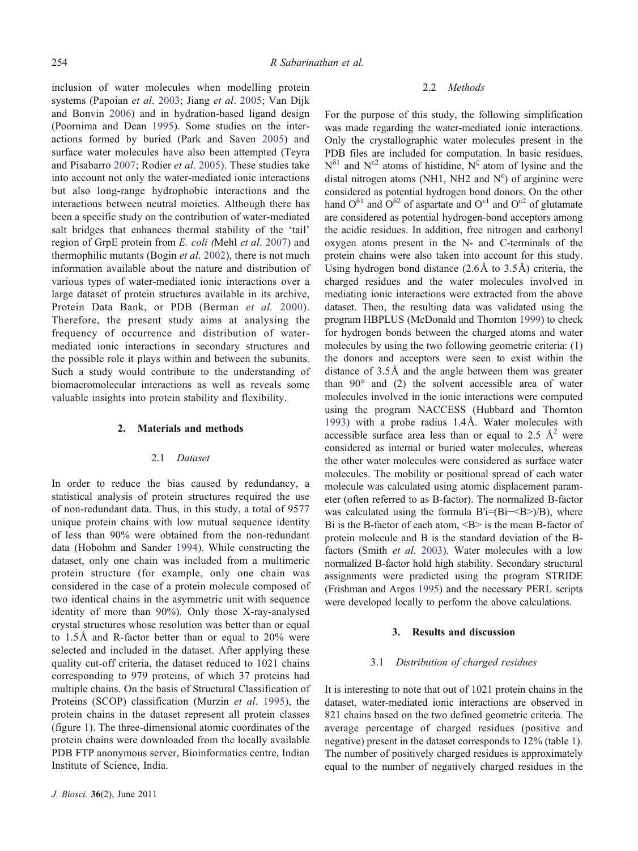inclusion of water molecules when modelling protein systems (Papoian et al. [2003](#page-9-0); Jiang et al. [2005;](#page-9-0) Van Dijk and Bonvin [2006\)](#page-10-0) and in hydration-based ligand design (Poornima and Dean [1995](#page-9-0)). Some studies on the interactions formed by buried (Park and Saven [2005](#page-9-0)) and surface water molecules have also been attempted (Teyra and Pisabarro [2007;](#page-10-0) Rodier et al. [2005](#page-9-0)). These studies take into account not only the water-mediated ionic interactions but also long-range hydrophobic interactions and the interactions between neutral moieties. Although there has been a specific study on the contribution of water-mediated salt bridges that enhances thermal stability of the 'tail' region of GrpE protein from E. coli (Mehl et al. [2007](#page-9-0)) and thermophilic mutants (Bogin et al. [2002\)](#page-8-0), there is not much information available about the nature and distribution of various types of water-mediated ionic interactions over a large dataset of protein structures available in its archive, Protein Data Bank, or PDB (Berman et al. [2000](#page-8-0)). Therefore, the present study aims at analysing the frequency of occurrence and distribution of watermediated ionic interactions in secondary structures and the possible role it plays within and between the subunits. Such a study would contribute to the understanding of biomacromolecular interactions as well as reveals some valuable insights into protein stability and flexibility.

#### 2. Materials and methods

#### 2.1 Dataset

In order to reduce the bias caused by redundancy, a statistical analysis of protein structures required the use of non-redundant data. Thus, in this study, a total of 9577 unique protein chains with low mutual sequence identity of less than 90% were obtained from the non-redundant data (Hobohm and Sander [1994\)](#page-9-0). While constructing the dataset, only one chain was included from a multimeric protein structure (for example, only one chain was considered in the case of a protein molecule composed of two identical chains in the asymmetric unit with sequence identity of more than 90%). Only those X-ray-analysed crystal structures whose resolution was better than or equal to 1.5Å and R-factor better than or equal to 20% were selected and included in the dataset. After applying these quality cut-off criteria, the dataset reduced to 1021 chains corresponding to 979 proteins, of which 37 proteins had multiple chains. On the basis of Structural Classification of Proteins (SCOP) classification (Murzin et al. [1995](#page-9-0)), the protein chains in the dataset represent all protein classes (figure [1](#page-2-0)). The three-dimensional atomic coordinates of the protein chains were downloaded from the locally available PDB FTP anonymous server, Bioinformatics centre, Indian Institute of Science, India.

#### 2.2 Methods

For the purpose of this study, the following simplification was made regarding the water-mediated ionic interactions. Only the crystallographic water molecules present in the PDB files are included for computation. In basic residues,  $N^{\delta_1}$  and  $N^{\epsilon_2}$  atoms of histidine,  $N^{\zeta}$  atom of lysine and the distal nitrogen atoms (NH1, NH2 and  $N^{\epsilon}$ ) of arginine were considered as potential hydrogen bond donors. On the other hand  $O^{\delta 1}$  and  $O^{\delta 2}$  of aspartate and  $O^{\epsilon 1}$  and  $O^{\epsilon 2}$  of glutamate are considered as potential hydrogen-bond acceptors among the acidic residues. In addition, free nitrogen and carbonyl oxygen atoms present in the N- and C-terminals of the protein chains were also taken into account for this study. Using hydrogen bond distance (2.6Å to 3.5Å) criteria, the charged residues and the water molecules involved in mediating ionic interactions were extracted from the above dataset. Then, the resulting data was validated using the program HBPLUS (McDonald and Thornton [1999](#page-9-0)) to check for hydrogen bonds between the charged atoms and water molecules by using the two following geometric criteria: (1) the donors and acceptors were seen to exist within the distance of 3.5Å and the angle between them was greater than 90° and (2) the solvent accessible area of water molecules involved in the ionic interactions were computed using the program NACCESS (Hubbard and Thornton [1993](#page-9-0)) with a probe radius 1.4Å. Water molecules with accessible surface area less than or equal to 2.5  $\AA$ <sup>2</sup> were considered as internal or buried water molecules, whereas the other water molecules were considered as surface water molecules. The mobility or positional spread of each water molecule was calculated using atomic displacement parameter (often referred to as B-factor). The normalized B-factor was calculated using the formula B'i=(Bi-<B>)/B), where Bi is the B-factor of each atom,  $\langle B \rangle$  is the mean B-factor of protein molecule and B is the standard deviation of the Bfactors (Smith et al. [2003](#page-9-0)). Water molecules with a low normalized B-factor hold high stability. Secondary structural assignments were predicted using the program STRIDE (Frishman and Argos [1995](#page-9-0)) and the necessary PERL scripts were developed locally to perform the above calculations.

#### 3. Results and discussion

#### 3.1 Distribution of charged residues

It is interesting to note that out of 1021 protein chains in the dataset, water-mediated ionic interactions are observed in 821 chains based on the two defined geometric criteria. The average percentage of charged residues (positive and negative) present in the dataset corresponds to 12% (table [1\)](#page-2-0). The number of positively charged residues is approximately equal to the number of negatively charged residues in the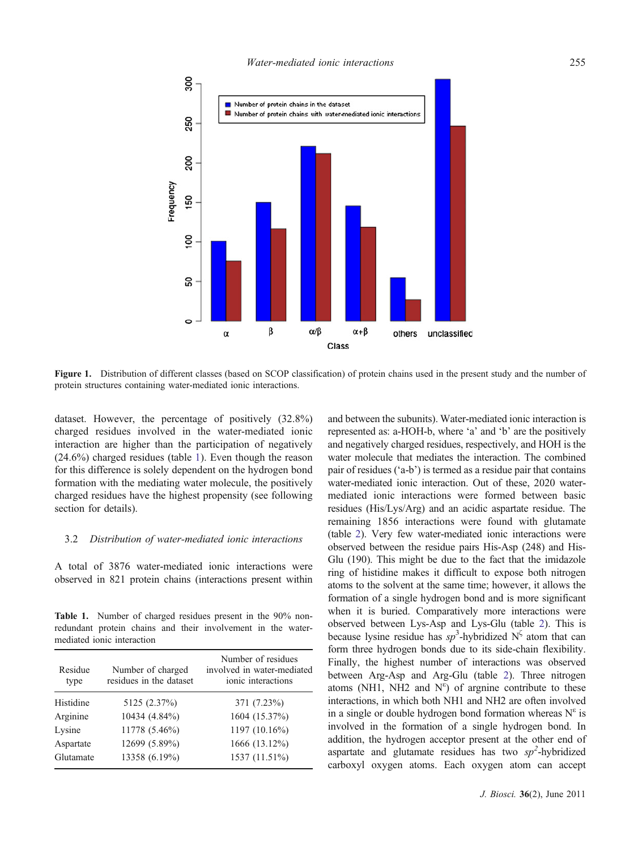<span id="page-2-0"></span>

Figure 1. Distribution of different classes (based on SCOP classification) of protein chains used in the present study and the number of protein structures containing water-mediated ionic interactions.

dataset. However, the percentage of positively (32.8%) charged residues involved in the water-mediated ionic interaction are higher than the participation of negatively (24.6%) charged residues (table 1). Even though the reason for this difference is solely dependent on the hydrogen bond formation with the mediating water molecule, the positively charged residues have the highest propensity (see following section for details).

## 3.2 Distribution of water-mediated ionic interactions

A total of 3876 water-mediated ionic interactions were observed in 821 protein chains (interactions present within

Table 1. Number of charged residues present in the 90% nonredundant protein chains and their involvement in the watermediated ionic interaction

| Residue<br>type | Number of charged<br>residues in the dataset | Number of residues<br>involved in water-mediated<br>ionic interactions |
|-----------------|----------------------------------------------|------------------------------------------------------------------------|
| Histidine       | 5125 (2.37%)                                 | 371 (7.23%)                                                            |
| Arginine        | 10434 (4.84%)                                | 1604 (15.37%)                                                          |
| Lysine          | 11778 (5.46%)                                | 1197 (10.16%)                                                          |
| Aspartate       | 12699 (5.89%)                                | 1666 (13.12%)                                                          |
| Glutamate       | 13358 (6.19%)                                | 1537 (11.51%)                                                          |

and between the subunits). Water-mediated ionic interaction is represented as: a-HOH-b, where 'a' and 'b' are the positively and negatively charged residues, respectively, and HOH is the water molecule that mediates the interaction. The combined pair of residues ('a-b') is termed as a residue pair that contains water-mediated ionic interaction. Out of these, 2020 watermediated ionic interactions were formed between basic residues (His/Lys/Arg) and an acidic aspartate residue. The remaining 1856 interactions were found with glutamate (table [2\)](#page-3-0). Very few water-mediated ionic interactions were observed between the residue pairs His-Asp (248) and His-Glu (190). This might be due to the fact that the imidazole ring of histidine makes it difficult to expose both nitrogen atoms to the solvent at the same time; however, it allows the formation of a single hydrogen bond and is more significant when it is buried. Comparatively more interactions were observed between Lys-Asp and Lys-Glu (table [2](#page-3-0)). This is because lysine residue has  $sp^3$ -hybridized N<sup> $\zeta$ </sup> atom that can form three hydrogen bonds due to its side-chain flexibility. Finally, the highest number of interactions was observed between Arg-Asp and Arg-Glu (table [2](#page-3-0)). Three nitrogen atoms (NH1, NH2 and  $N^{\epsilon}$ ) of argnine contribute to these interactions, in which both NH1 and NH2 are often involved in a single or double hydrogen bond formation whereas  $N^{\epsilon}$  is involved in the formation of a single hydrogen bond. In addition, the hydrogen acceptor present at the other end of aspartate and glutamate residues has two  $sp^2$ -hybridized carboxyl oxygen atoms. Each oxygen atom can accept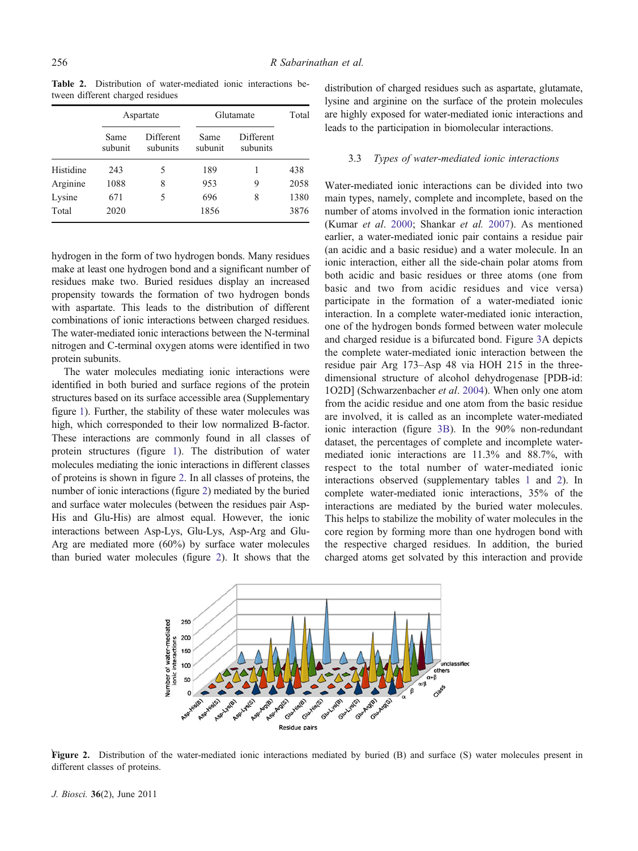<span id="page-3-0"></span>Table 2. Distribution of water-mediated ionic interactions between different charged residues

|           | Aspartate       |                       | Glutamate       |                       | Total |
|-----------|-----------------|-----------------------|-----------------|-----------------------|-------|
|           | Same<br>subunit | Different<br>subunits | Same<br>subunit | Different<br>subunits |       |
| Histidine | 243             | 5                     | 189             |                       | 438   |
| Arginine  | 1088            | 8                     | 953             | 9                     | 2058  |
| Lysine    | 671             | 5                     | 696             | 8                     | 1380  |
| Total     | 2020            |                       | 1856            |                       | 3876  |

hydrogen in the form of two hydrogen bonds. Many residues make at least one hydrogen bond and a significant number of residues make two. Buried residues display an increased propensity towards the formation of two hydrogen bonds with aspartate. This leads to the distribution of different combinations of ionic interactions between charged residues. The water-mediated ionic interactions between the N-terminal nitrogen and C-terminal oxygen atoms were identified in two protein subunits.

The water molecules mediating ionic interactions were identified in both buried and surface regions of the protein structures based on its surface accessible area (Supplementary figure 1). Further, the stability of these water molecules was high, which corresponded to their low normalized B-factor. These interactions are commonly found in all classes of protein structures (figure [1](#page-2-0)). The distribution of water molecules mediating the ionic interactions in different classes of proteins is shown in figure 2. In all classes of proteins, the number of ionic interactions (figure 2) mediated by the buried and surface water molecules (between the residues pair Asp-His and Glu-His) are almost equal. However, the ionic interactions between Asp-Lys, Glu-Lys, Asp-Arg and Glu-Arg are mediated more (60%) by surface water molecules than buried water molecules (figure 2). It shows that the

distribution of charged residues such as aspartate, glutamate, lysine and arginine on the surface of the protein molecules are highly exposed for water-mediated ionic interactions and leads to the participation in biomolecular interactions.

#### 3.3 Types of water-mediated ionic interactions

Water-mediated ionic interactions can be divided into two main types, namely, complete and incomplete, based on the number of atoms involved in the formation ionic interaction (Kumar et al. [2000](#page-9-0); Shankar et al. [2007](#page-9-0)). As mentioned earlier, a water-mediated ionic pair contains a residue pair (an acidic and a basic residue) and a water molecule. In an ionic interaction, either all the side-chain polar atoms from both acidic and basic residues or three atoms (one from basic and two from acidic residues and vice versa) participate in the formation of a water-mediated ionic interaction. In a complete water-mediated ionic interaction, one of the hydrogen bonds formed between water molecule and charged residue is a bifurcated bond. Figure [3](#page-4-0)A depicts the complete water-mediated ionic interaction between the residue pair Arg 173–Asp 48 via HOH 215 in the threedimensional structure of alcohol dehydrogenase [PDB-id: 1O2D] (Schwarzenbacher *et al.* [2004](#page-9-0)). When only one atom from the acidic residue and one atom from the basic residue are involved, it is called as an incomplete water-mediated ionic interaction (figure [3B](#page-4-0)). In the 90% non-redundant dataset, the percentages of complete and incomplete watermediated ionic interactions are 11.3% and 88.7%, with respect to the total number of water-mediated ionic interactions observed (supplementary tables 1 and 2). In complete water-mediated ionic interactions, 35% of the interactions are mediated by the buried water molecules. This helps to stabilize the mobility of water molecules in the core region by forming more than one hydrogen bond with the respective charged residues. In addition, the buried charged atoms get solvated by this interaction and provide



Figure 2. Distribution of the water-mediated ionic interactions mediated by buried (B) and surface (S) water molecules present in different classes of proteins.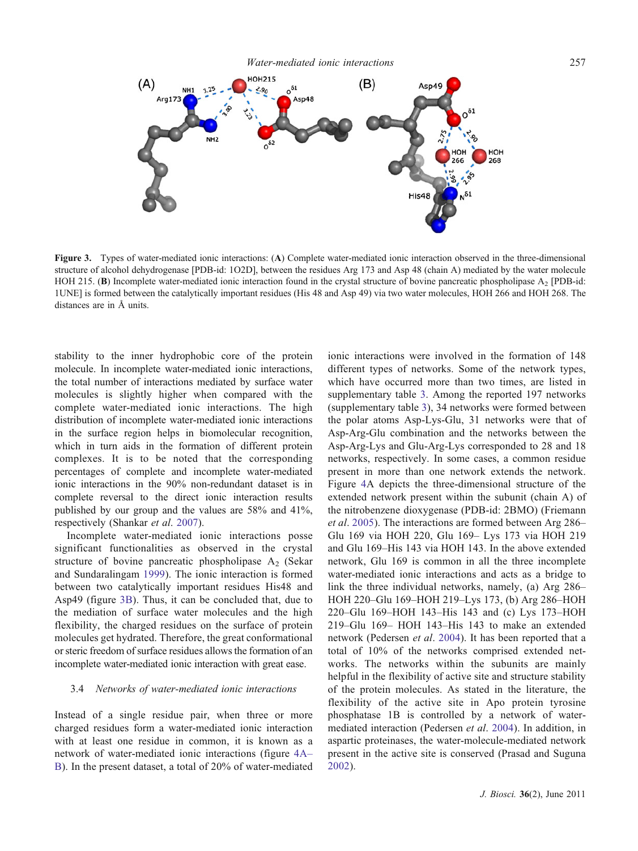<span id="page-4-0"></span>

Figure 3. Types of water-mediated ionic interactions: (A) Complete water-mediated ionic interaction observed in the three-dimensional structure of alcohol dehydrogenase [PDB-id: 1O2D], between the residues Arg 173 and Asp 48 (chain A) mediated by the water molecule HOH 215. (B) Incomplete water-mediated ionic interaction found in the crystal structure of bovine pancreatic phospholipase  $A_2$  [PDB-id: 1UNE] is formed between the catalytically important residues (His 48 and Asp 49) via two water molecules, HOH 266 and HOH 268. The distances are in Å units.

stability to the inner hydrophobic core of the protein molecule. In incomplete water-mediated ionic interactions, the total number of interactions mediated by surface water molecules is slightly higher when compared with the complete water-mediated ionic interactions. The high distribution of incomplete water-mediated ionic interactions in the surface region helps in biomolecular recognition, which in turn aids in the formation of different protein complexes. It is to be noted that the corresponding percentages of complete and incomplete water-mediated ionic interactions in the 90% non-redundant dataset is in complete reversal to the direct ionic interaction results published by our group and the values are 58% and 41%, respectively (Shankar et al. [2007](#page-9-0)).

Incomplete water-mediated ionic interactions posse significant functionalities as observed in the crystal structure of bovine pancreatic phospholipase  $A_2$  (Sekar and Sundaralingam [1999](#page-9-0)). The ionic interaction is formed between two catalytically important residues His48 and Asp49 (figure 3B). Thus, it can be concluded that, due to the mediation of surface water molecules and the high flexibility, the charged residues on the surface of protein molecules get hydrated. Therefore, the great conformational or steric freedom of surface residues allows the formation of an incomplete water-mediated ionic interaction with great ease.

#### 3.4 Networks of water-mediated ionic interactions

Instead of a single residue pair, when three or more charged residues form a water-mediated ionic interaction with at least one residue in common, it is known as a network of water-mediated ionic interactions (figure [4A](#page-5-0)– [B\)](#page-5-0). In the present dataset, a total of 20% of water-mediated ionic interactions were involved in the formation of 148 different types of networks. Some of the network types, which have occurred more than two times, are listed in supplementary table 3. Among the reported 197 networks (supplementary table 3), 34 networks were formed between the polar atoms Asp-Lys-Glu, 31 networks were that of Asp-Arg-Glu combination and the networks between the Asp-Arg-Lys and Glu-Arg-Lys corresponded to 28 and 18 networks, respectively. In some cases, a common residue present in more than one network extends the network. Figure [4](#page-5-0)A depicts the three-dimensional structure of the extended network present within the subunit (chain A) of the nitrobenzene dioxygenase (PDB-id: 2BMO) (Friemann et al. [2005](#page-8-0)). The interactions are formed between Arg 286– Glu 169 via HOH 220, Glu 169– Lys 173 via HOH 219 and Glu 169–His 143 via HOH 143. In the above extended network, Glu 169 is common in all the three incomplete water-mediated ionic interactions and acts as a bridge to link the three individual networks, namely, (a) Arg 286– HOH 220–Glu 169–HOH 219–Lys 173, (b) Arg 286–HOH 220–Glu 169–HOH 143–His 143 and (c) Lys 173–HOH 219–Glu 169– HOH 143–His 143 to make an extended network (Pedersen et al. [2004](#page-9-0)). It has been reported that a total of 10% of the networks comprised extended networks. The networks within the subunits are mainly helpful in the flexibility of active site and structure stability of the protein molecules. As stated in the literature, the flexibility of the active site in Apo protein tyrosine phosphatase 1B is controlled by a network of watermediated interaction (Pedersen et al. [2004\)](#page-9-0). In addition, in aspartic proteinases, the water-molecule-mediated network present in the active site is conserved (Prasad and Suguna [2002](#page-9-0)).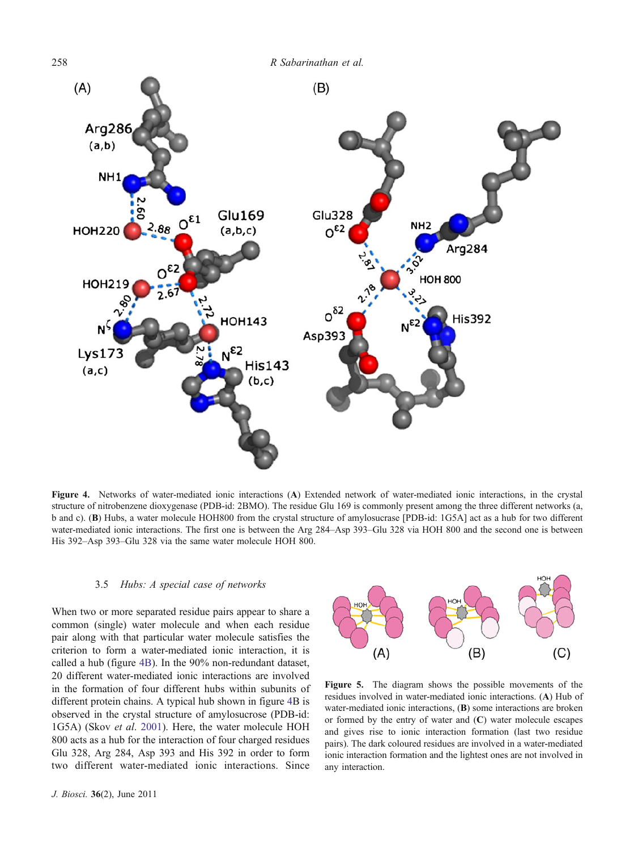<span id="page-5-0"></span>

Figure 4. Networks of water-mediated ionic interactions (A) Extended network of water-mediated ionic interactions, in the crystal structure of nitrobenzene dioxygenase (PDB-id: 2BMO). The residue Glu 169 is commonly present among the three different networks (a, b and c). (B) Hubs, a water molecule HOH800 from the crystal structure of amylosucrase [PDB-id: 1G5A] act as a hub for two different water-mediated ionic interactions. The first one is between the Arg 284–Asp 393–Glu 328 via HOH 800 and the second one is between His 392–Asp 393–Glu 328 via the same water molecule HOH 800.

### 3.5 Hubs: A special case of networks

When two or more separated residue pairs appear to share a common (single) water molecule and when each residue pair along with that particular water molecule satisfies the criterion to form a water-mediated ionic interaction, it is called a hub (figure 4B). In the 90% non-redundant dataset, 20 different water-mediated ionic interactions are involved in the formation of four different hubs within subunits of different protein chains. A typical hub shown in figure 4B is observed in the crystal structure of amylosucrose (PDB-id: 1G5A) (Skov et al. [2001\)](#page-9-0). Here, the water molecule HOH 800 acts as a hub for the interaction of four charged residues Glu 328, Arg 284, Asp 393 and His 392 in order to form two different water-mediated ionic interactions. Since



Figure 5. The diagram shows the possible movements of the residues involved in water-mediated ionic interactions. (A) Hub of water-mediated ionic interactions, (B) some interactions are broken or formed by the entry of water and  $(C)$  water molecule escapes and gives rise to ionic interaction formation (last two residue pairs). The dark coloured residues are involved in a water-mediated ionic interaction formation and the lightest ones are not involved in any interaction.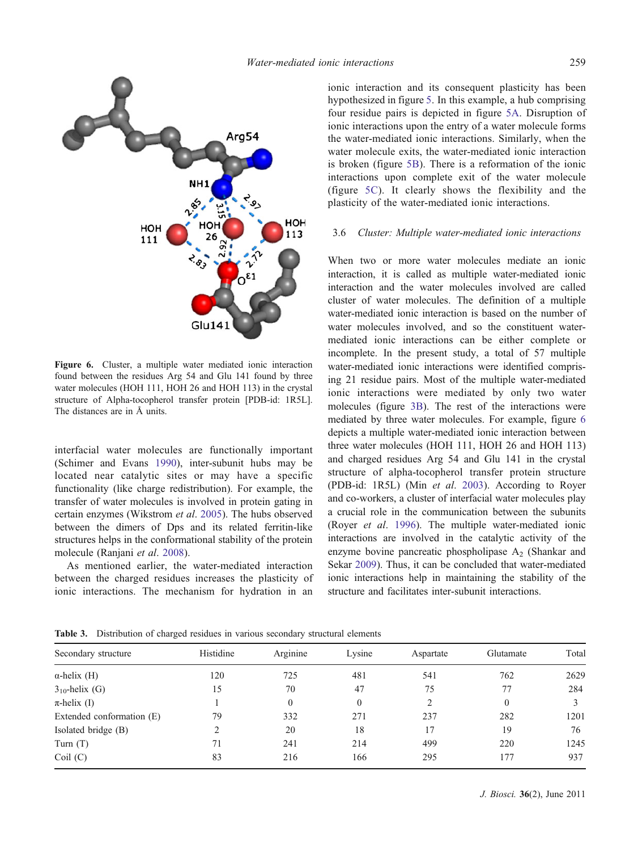<span id="page-6-0"></span>

Figure 6. Cluster, a multiple water mediated ionic interaction found between the residues Arg 54 and Glu 141 found by three water molecules (HOH 111, HOH 26 and HOH 113) in the crystal structure of Alpha-tocopherol transfer protein [PDB-id: 1R5L]. The distances are in Å units.

interfacial water molecules are functionally important (Schimer and Evans [1990\)](#page-9-0), inter-subunit hubs may be located near catalytic sites or may have a specific functionality (like charge redistribution). For example, the transfer of water molecules is involved in protein gating in certain enzymes (Wikstrom et al. [2005](#page-10-0)). The hubs observed between the dimers of Dps and its related ferritin-like structures helps in the conformational stability of the protein molecule (Ranjani et al. [2008\)](#page-9-0).

As mentioned earlier, the water-mediated interaction between the charged residues increases the plasticity of ionic interactions. The mechanism for hydration in an

ionic interaction and its consequent plasticity has been hypothesized in figure [5](#page-5-0). In this example, a hub comprising four residue pairs is depicted in figure [5A.](#page-5-0) Disruption of ionic interactions upon the entry of a water molecule forms the water-mediated ionic interactions. Similarly, when the water molecule exits, the water-mediated ionic interaction is broken (figure [5B\)](#page-5-0). There is a reformation of the ionic interactions upon complete exit of the water molecule (figure [5C](#page-5-0)). It clearly shows the flexibility and the plasticity of the water-mediated ionic interactions.

## 3.6 Cluster: Multiple water-mediated ionic interactions

When two or more water molecules mediate an ionic interaction, it is called as multiple water-mediated ionic interaction and the water molecules involved are called cluster of water molecules. The definition of a multiple water-mediated ionic interaction is based on the number of water molecules involved, and so the constituent watermediated ionic interactions can be either complete or incomplete. In the present study, a total of 57 multiple water-mediated ionic interactions were identified comprising 21 residue pairs. Most of the multiple water-mediated ionic interactions were mediated by only two water molecules (figure [3B](#page-4-0)). The rest of the interactions were mediated by three water molecules. For example, figure 6 depicts a multiple water-mediated ionic interaction between three water molecules (HOH 111, HOH 26 and HOH 113) and charged residues Arg 54 and Glu 141 in the crystal structure of alpha-tocopherol transfer protein structure (PDB-id: 1R5L) (Min et al. [2003\)](#page-9-0). According to Royer and co-workers, a cluster of interfacial water molecules play a crucial role in the communication between the subunits (Royer et al. [1996](#page-9-0)). The multiple water-mediated ionic interactions are involved in the catalytic activity of the enzyme bovine pancreatic phospholipase  $A_2$  (Shankar and Sekar [2009\)](#page-9-0). Thus, it can be concluded that water-mediated ionic interactions help in maintaining the stability of the structure and facilitates inter-subunit interactions.

Table 3. Distribution of charged residues in various secondary structural elements

| Secondary structure       | Histidine | Arginine | Lysine | Aspartate | Glutamate      | Total |
|---------------------------|-----------|----------|--------|-----------|----------------|-------|
| $\alpha$ -helix (H)       | 120       | 725      | 481    | 541       | 762            | 2629  |
| $3_{10}$ -helix (G)       | 15        | 70       | 47     | 75        | 77             | 284   |
| $\pi$ -helix (I)          |           | 0        | 0      |           | $\overline{0}$ |       |
| Extended conformation (E) | 79        | 332      | 271    | 237       | 282            | 1201  |
| Isolated bridge (B)       | ∍         | 20       | 18     | 17        | 19             | 76    |
| Turn $(T)$                | 71        | 241      | 214    | 499       | 220            | 1245  |
| Coil(C)                   | 83        | 216      | 166    | 295       | 177            | 937   |
|                           |           |          |        |           |                |       |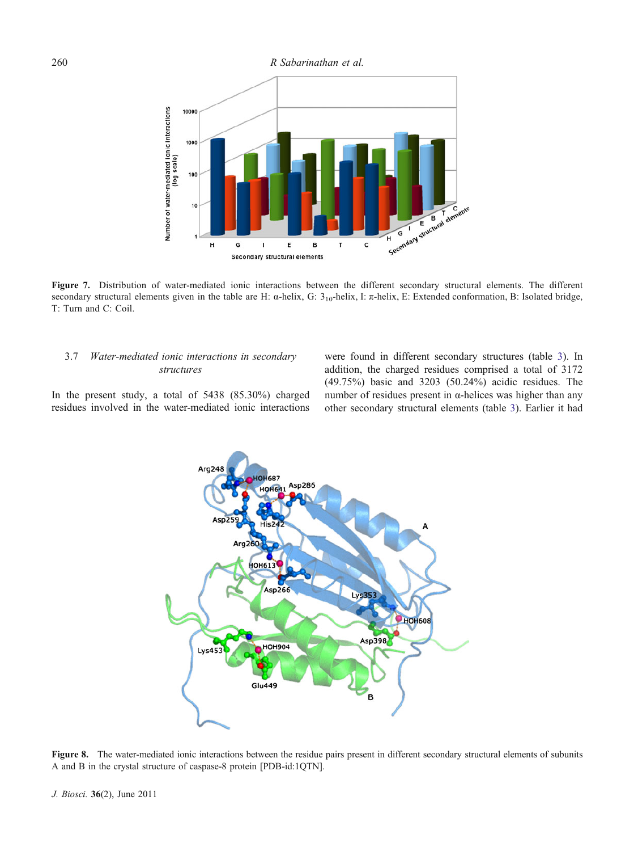<span id="page-7-0"></span>

Figure 7. Distribution of water-mediated ionic interactions between the different secondary structural elements. The different secondary structural elements given in the table are H: α-helix, G: 3<sub>10</sub>-helix, I: π-helix, E: Extended conformation, B: Isolated bridge, T: Turn and C: Coil.

# 3.7 Water-mediated ionic interactions in secondary structures

were found in different secondary structures (table [3\)](#page-6-0). In addition, the charged residues comprised a total of 3172 (49.75%) basic and 3203 (50.24%) acidic residues. The number of residues present in α-helices was higher than any other secondary structural elements (table [3](#page-6-0)). Earlier it had

In the present study, a total of 5438 (85.30%) charged residues involved in the water-mediated ionic interactions



Figure 8. The water-mediated ionic interactions between the residue pairs present in different secondary structural elements of subunits A and B in the crystal structure of caspase-8 protein [PDB-id:1QTN].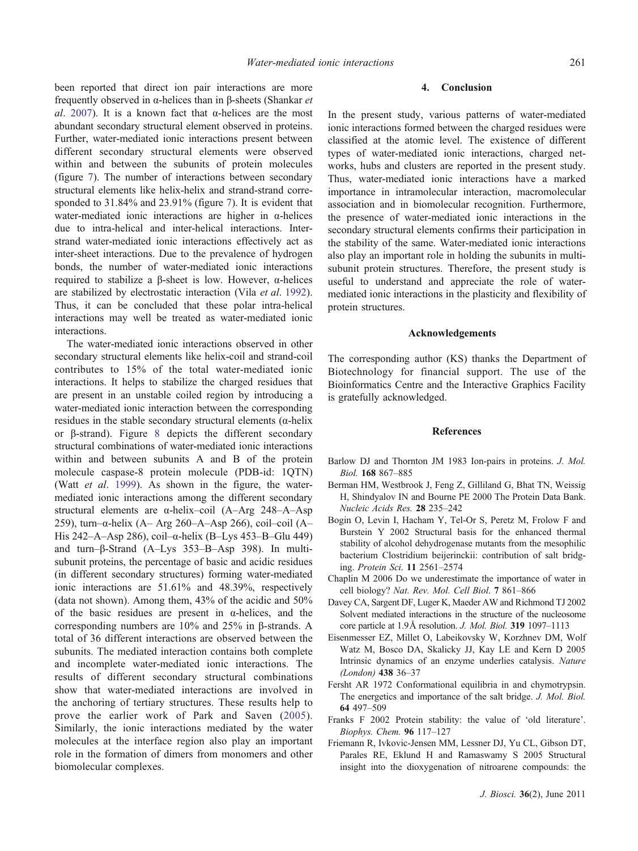<span id="page-8-0"></span>been reported that direct ion pair interactions are more frequently observed in α-helices than in β-sheets (Shankar et al. [2007](#page-9-0)). It is a known fact that  $\alpha$ -helices are the most abundant secondary structural element observed in proteins. Further, water-mediated ionic interactions present between different secondary structural elements were observed within and between the subunits of protein molecules (figure [7](#page-7-0)). The number of interactions between secondary structural elements like helix-helix and strand-strand corresponded to 31.84% and 23.91% (figure [7](#page-7-0)). It is evident that water-mediated ionic interactions are higher in  $\alpha$ -helices due to intra-helical and inter-helical interactions. Interstrand water-mediated ionic interactions effectively act as inter-sheet interactions. Due to the prevalence of hydrogen bonds, the number of water-mediated ionic interactions required to stabilize a β-sheet is low. However, α-helices are stabilized by electrostatic interaction (Vila et al. [1992](#page-10-0)). Thus, it can be concluded that these polar intra-helical interactions may well be treated as water-mediated ionic interactions.

The water-mediated ionic interactions observed in other secondary structural elements like helix-coil and strand-coil contributes to 15% of the total water-mediated ionic interactions. It helps to stabilize the charged residues that are present in an unstable coiled region by introducing a water-mediated ionic interaction between the corresponding residues in the stable secondary structural elements (α-helix or β-strand). Figure [8](#page-7-0) depicts the different secondary structural combinations of water-mediated ionic interactions within and between subunits A and B of the protein molecule caspase-8 protein molecule (PDB-id: 1QTN) (Watt et al. [1999](#page-10-0)). As shown in the figure, the watermediated ionic interactions among the different secondary structural elements are α-helix–coil (A–Arg 248–A–Asp 259), turn–α-helix (A– Arg 260–A–Asp 266), coil–coil (A– His 242–A–Asp 286), coil– $\alpha$ -helix (B–Lys 453–B–Glu 449) and turn–β-Strand (A–Lys 353–B–Asp 398). In multisubunit proteins, the percentage of basic and acidic residues (in different secondary structures) forming water-mediated ionic interactions are 51.61% and 48.39%, respectively (data not shown). Among them, 43% of the acidic and 50% of the basic residues are present in  $\alpha$ -helices, and the corresponding numbers are 10% and 25% in β-strands. A total of 36 different interactions are observed between the subunits. The mediated interaction contains both complete and incomplete water-mediated ionic interactions. The results of different secondary structural combinations show that water-mediated interactions are involved in the anchoring of tertiary structures. These results help to prove the earlier work of Park and Saven ([2005](#page-9-0)). Similarly, the ionic interactions mediated by the water molecules at the interface region also play an important role in the formation of dimers from monomers and other biomolecular complexes.

#### 4. Conclusion

In the present study, various patterns of water-mediated ionic interactions formed between the charged residues were classified at the atomic level. The existence of different types of water-mediated ionic interactions, charged networks, hubs and clusters are reported in the present study. Thus, water-mediated ionic interactions have a marked importance in intramolecular interaction, macromolecular association and in biomolecular recognition. Furthermore, the presence of water-mediated ionic interactions in the secondary structural elements confirms their participation in the stability of the same. Water-mediated ionic interactions also play an important role in holding the subunits in multisubunit protein structures. Therefore, the present study is useful to understand and appreciate the role of watermediated ionic interactions in the plasticity and flexibility of protein structures.

#### Acknowledgements

The corresponding author (KS) thanks the Department of Biotechnology for financial support. The use of the Bioinformatics Centre and the Interactive Graphics Facility is gratefully acknowledged.

#### References

- Barlow DJ and Thornton JM 1983 Ion-pairs in proteins. J. Mol. Biol. 168 867–885
- Berman HM, Westbrook J, Feng Z, Gilliland G, Bhat TN, Weissig H, Shindyalov IN and Bourne PE 2000 The Protein Data Bank. Nucleic Acids Res. 28 235–242
- Bogin O, Levin I, Hacham Y, Tel-Or S, Peretz M, Frolow F and Burstein Y 2002 Structural basis for the enhanced thermal stability of alcohol dehydrogenase mutants from the mesophilic bacterium Clostridium beijerinckii: contribution of salt bridging. Protein Sci. 11 2561–2574
- Chaplin M 2006 Do we underestimate the importance of water in cell biology? Nat. Rev. Mol. Cell Biol. 7 861–866
- Davey CA, Sargent DF, Luger K, Maeder AW and Richmond TJ 2002 Solvent mediated interactions in the structure of the nucleosome core particle at 1.9Å resolution. J. Mol. Biol. 319 1097–1113
- Eisenmesser EZ, Millet O, Labeikovsky W, Korzhnev DM, Wolf Watz M, Bosco DA, Skalicky JJ, Kay LE and Kern D 2005 Intrinsic dynamics of an enzyme underlies catalysis. Nature (London) 438 36–37
- Fersht AR 1972 Conformational equilibria in and chymotrypsin. The energetics and importance of the salt bridge. J. Mol. Biol. 64 497–509
- Franks F 2002 Protein stability: the value of 'old literature'. Biophys. Chem. 96 117–127
- Friemann R, Ivkovic-Jensen MM, Lessner DJ, Yu CL, Gibson DT, Parales RE, Eklund H and Ramaswamy S 2005 Structural insight into the dioxygenation of nitroarene compounds: the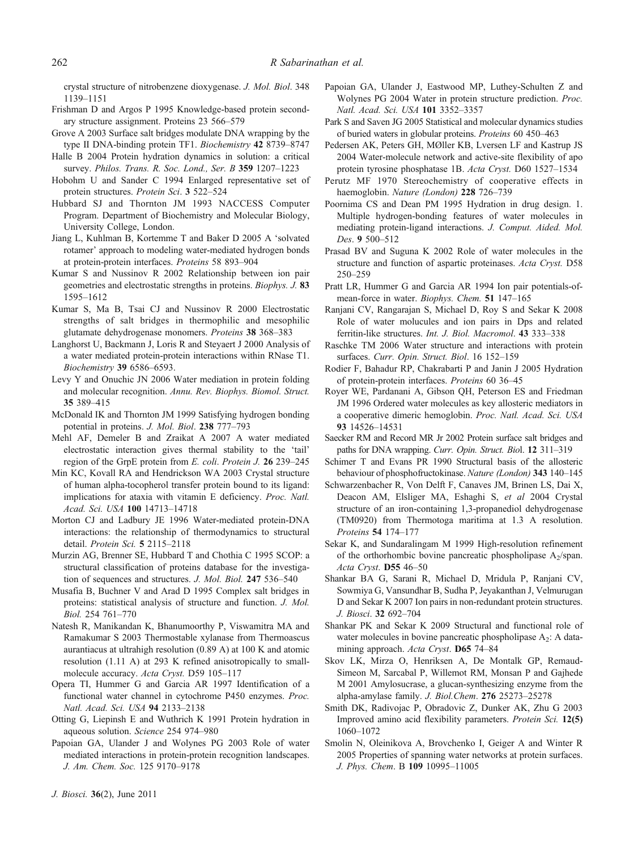<span id="page-9-0"></span>crystal structure of nitrobenzene dioxygenase. J. Mol. Biol. 348 1139–1151

- Frishman D and Argos P 1995 Knowledge-based protein secondary structure assignment. Proteins 23 566–579
- Grove A 2003 Surface salt bridges modulate DNA wrapping by the type II DNA-binding protein TF1. Biochemistry 42 8739–8747
- Halle B 2004 Protein hydration dynamics in solution: a critical survey. Philos. Trans. R. Soc. Lond., Ser. B 359 1207-1223
- Hobohm U and Sander C 1994 Enlarged representative set of protein structures. Protein Sci. 3 522-524
- Hubbard SJ and Thornton JM 1993 NACCESS Computer Program. Department of Biochemistry and Molecular Biology, University College, London.
- Jiang L, Kuhlman B, Kortemme T and Baker D 2005 A 'solvated rotamer' approach to modeling water-mediated hydrogen bonds at protein-protein interfaces. Proteins 58 893–904
- Kumar S and Nussinov R 2002 Relationship between ion pair geometries and electrostatic strengths in proteins. Biophys. J. 83 1595–1612
- Kumar S, Ma B, Tsai CJ and Nussinov R 2000 Electrostatic strengths of salt bridges in thermophilic and mesophilic glutamate dehydrogenase monomers. Proteins 38 368–383
- Langhorst U, Backmann J, Loris R and Steyaert J 2000 Analysis of a water mediated protein-protein interactions within RNase T1. Biochemistry 39 6586–6593.
- Levy Y and Onuchic JN 2006 Water mediation in protein folding and molecular recognition. Annu. Rev. Biophys. Biomol. Struct. 35 389–415
- McDonald IK and Thornton JM 1999 Satisfying hydrogen bonding potential in proteins. J. Mol. Biol. 238 777–793
- Mehl AF, Demeler B and Zraikat A 2007 A water mediated electrostatic interaction gives thermal stability to the 'tail' region of the GrpE protein from E. coli. Protein J. 26 239–245
- Min KC, Kovall RA and Hendrickson WA 2003 Crystal structure of human alpha-tocopherol transfer protein bound to its ligand: implications for ataxia with vitamin E deficiency. Proc. Natl. Acad. Sci. USA 100 14713–14718
- Morton CJ and Ladbury JE 1996 Water-mediated protein-DNA interactions: the relationship of thermodynamics to structural detail. Protein Sci. 5 2115–2118
- Murzin AG, Brenner SE, Hubbard T and Chothia C 1995 SCOP: a structural classification of proteins database for the investigation of sequences and structures. J. Mol. Biol. 247 536–540
- Musafia B, Buchner V and Arad D 1995 Complex salt bridges in proteins: statistical analysis of structure and function. J. Mol. Biol. 254 761–770
- Natesh R, Manikandan K, Bhanumoorthy P, Viswamitra MA and Ramakumar S 2003 Thermostable xylanase from Thermoascus aurantiacus at ultrahigh resolution (0.89 A) at 100 K and atomic resolution (1.11 A) at 293 K refined anisotropically to smallmolecule accuracy. Acta Cryst. D59 105–117
- Opera TI, Hummer G and Garcia AR 1997 Identification of a functional water channel in cytochrome P450 enzymes. Proc. Natl. Acad. Sci. USA 94 2133–2138
- Otting G, Liepinsh E and Wuthrich K 1991 Protein hydration in aqueous solution. Science 254 974–980
- Papoian GA, Ulander J and Wolynes PG 2003 Role of water mediated interactions in protein-protein recognition landscapes. J. Am. Chem. Soc. 125 9170–9178
- Papoian GA, Ulander J, Eastwood MP, Luthey-Schulten Z and Wolynes PG 2004 Water in protein structure prediction. Proc. Natl. Acad. Sci. USA 101 3352–3357
- Park S and Saven JG 2005 Statistical and molecular dynamics studies of buried waters in globular proteins. Proteins 60 450–463
- Pedersen AK, Peters GH, MØller KB, Lversen LF and Kastrup JS 2004 Water-molecule network and active-site flexibility of apo protein tyrosine phosphatase 1B. Acta Cryst. D60 1527–1534
- Perutz MF 1970 Stereochemistry of cooperative effects in haemoglobin. Nature (London) 228 726–739
- Poornima CS and Dean PM 1995 Hydration in drug design. 1. Multiple hydrogen-bonding features of water molecules in mediating protein-ligand interactions. J. Comput. Aided. Mol. Des. 9 500–512
- Prasad BV and Suguna K 2002 Role of water molecules in the structure and function of aspartic proteinases. Acta Cryst. D58 250–259
- Pratt LR, Hummer G and Garcia AR 1994 Ion pair potentials-ofmean-force in water. Biophys. Chem. 51 147–165
- Ranjani CV, Rangarajan S, Michael D, Roy S and Sekar K 2008 Role of water molucules and ion pairs in Dps and related ferritin-like structures. Int. J. Biol. Macromol. 43 333–338
- Raschke TM 2006 Water structure and interactions with protein surfaces. Curr. Opin. Struct. Biol. 16 152–159
- Rodier F, Bahadur RP, Chakrabarti P and Janin J 2005 Hydration of protein-protein interfaces. Proteins 60 36–45
- Royer WE, Pardanani A, Gibson QH, Peterson ES and Friedman JM 1996 Ordered water molecules as key allosteric mediators in a cooperative dimeric hemoglobin. Proc. Natl. Acad. Sci. USA 93 14526–14531
- Saecker RM and Record MR Jr 2002 Protein surface salt bridges and paths for DNA wrapping. Curr. Opin. Struct. Biol. 12 311–319
- Schimer T and Evans PR 1990 Structural basis of the allosteric behaviour of phosphofructokinase. Nature (London) 343 140–145
- Schwarzenbacher R, Von Delft F, Canaves JM, Brinen LS, Dai X, Deacon AM, Elsliger MA, Eshaghi S, et al 2004 Crystal structure of an iron-containing 1,3-propanediol dehydrogenase (TM0920) from Thermotoga maritima at 1.3 A resolution. Proteins 54 174–177
- Sekar K, and Sundaralingam M 1999 High-resolution refinement of the orthorhombic bovine pancreatic phospholipase  $A_2$ /span. Acta Cryst. D55 46–50
- Shankar BA G, Sarani R, Michael D, Mridula P, Ranjani CV, Sowmiya G, Vansundhar B, Sudha P, Jeyakanthan J, Velmurugan D and Sekar K 2007 Ion pairs in non-redundant protein structures. J. Biosci. 32 692–704
- Shankar PK and Sekar K 2009 Structural and functional role of water molecules in bovine pancreatic phospholipase  $A_2$ : A datamining approach. Acta Cryst. D65 74–84
- Skov LK, Mirza O, Henriksen A, De Montalk GP, Remaud-Simeon M, Sarcabal P, Willemot RM, Monsan P and Gajhede M 2001 Amylosucrase, a glucan-synthesizing enzyme from the alpha-amylase family. J. Biol.Chem. 276 25273–25278
- Smith DK, Radivojac P, Obradovic Z, Dunker AK, Zhu G 2003 Improved amino acid flexibility parameters. Protein Sci. 12(5) 1060–1072
- Smolin N, Oleinikova A, Brovchenko I, Geiger A and Winter R 2005 Properties of spanning water networks at protein surfaces. J. Phys. Chem. B 109 10995–11005